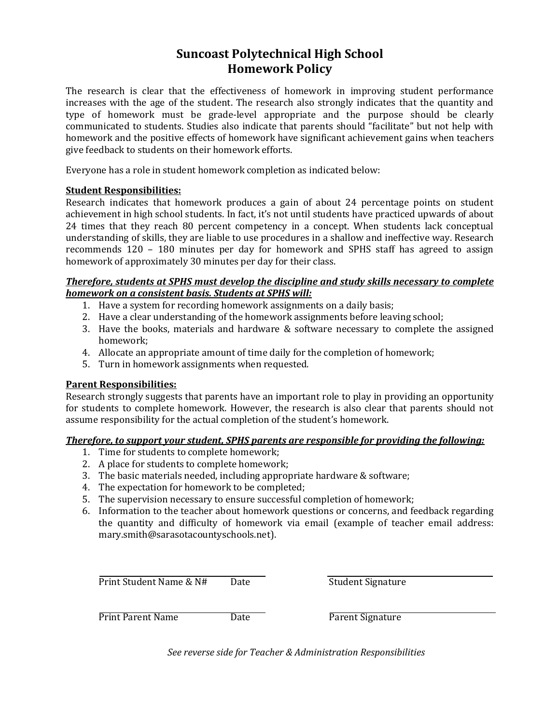# **Suncoast Polytechnical High School Homework Policy**

The research is clear that the effectiveness of homework in improving student performance increases with the age of the student. The research also strongly indicates that the quantity and type of homework must be grade-level appropriate and the purpose should be clearly communicated to students. Studies also indicate that parents should "facilitate" but not help with homework and the positive effects of homework have significant achievement gains when teachers give feedback to students on their homework efforts.

Everyone has a role in student homework completion as indicated below:

## **Student Responsibilities:**

Research indicates that homework produces a gain of about 24 percentage points on student achievement in high school students. In fact, it's not until students have practiced upwards of about 24 times that they reach 80 percent competency in a concept. When students lack conceptual understanding of skills, they are liable to use procedures in a shallow and ineffective way. Research recommends 120 – 180 minutes per day for homework and SPHS staff has agreed to assign homework of approximately 30 minutes per day for their class.

### *Therefore, students at SPHS must develop the discipline and study skills necessary to complete homework on a consistent basis. Students at SPHS will:*

- 1. Have a system for recording homework assignments on a daily basis;
- 2. Have a clear understanding of the homework assignments before leaving school;
- 3. Have the books, materials and hardware & software necessary to complete the assigned homework;
- 4. Allocate an appropriate amount of time daily for the completion of homework;
- 5. Turn in homework assignments when requested.

### **Parent Responsibilities:**

Research strongly suggests that parents have an important role to play in providing an opportunity for students to complete homework. However, the research is also clear that parents should not assume responsibility for the actual completion of the student's homework.

### *Therefore, to support your student, SPHS parents are responsible for providing the following:*

- 1. Time for students to complete homework;
- 2. A place for students to complete homework;
- 3. The basic materials needed, including appropriate hardware & software;
- 4. The expectation for homework to be completed;
- 5. The supervision necessary to ensure successful completion of homework;
- 6. Information to the teacher about homework questions or concerns, and feedback regarding the quantity and difficulty of homework via email (example of teacher email address: mary.smith@sarasotacountyschools.net).

Print Student Name & N# Date Student Signature

Print Parent Name Date Date Parent Signature

*See reverse side for Teacher & Administration Responsibilities*